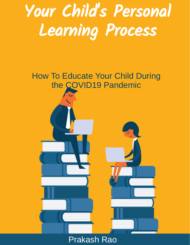# Your Child' s Personal Learning Process



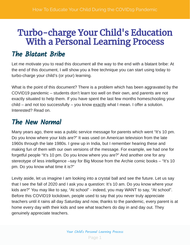## Turbo-charge Your Child's Education With a Personal Learning Process

### The Blatant Bribe

Let me motivate you to read this document all the way to the end with a blatant bribe: At the end of this document, I will show you a free technique you can start using today to turbo-charge your child's (or your) learning.

What is the point of this document? There is a problem which has been aggravated by the COVID19 pandemic – students don't learn too well on their own, and parents are not exactly situated to help them. If you have spent the last few months homeschooling your child – and not too successfully – you know exactly what I mean. I offer a solution. Interested? Read on.

### The New Normal

Many years ago, there was a public service message for parents which went "It's 10 pm. Do you know where your kids are?" It was used on American television from the late 1960s through the late 1980s. I grew up in India, but I remember hearing these and making fun of them with our own versions of the message. For example, we had one for forgetful people "It's 10 pm. Do you know where you are?" And another one for any stereotype of less intelligence –say for Big Moose from the Archie comic books – "It's 10 pm. Do you know what time it is?"

Levity aside, let us imagine I am looking into a crystal ball and see the future. Let us say that I see the fall of 2020 and I ask you a question: It's 10 am. Do you know where your kids are?" You may like to say, "At school" - indeed, you may WANT to say, "At school". Before this COVID19 lockdown, people used to say that you never truly appreciate teachers until it rains all day Saturday and now, thanks to the pandemic, every parent is at home every day with their kids and see what teachers do day in and day out. They genuinely appreciate teachers.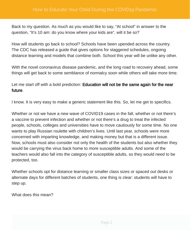Back to my question. As much as you would like to say, "At school" in answer to the question, "It's 10 am: do you know where your kids are", will it be so?

How will students go back to school? Schools have been upended across the country. The CDC has released a guide that gives options for staggered schedules, ongoing distance learning and models that combine both. School this year will be unlike any other.

With the novel coronavirus disease pandemic, and the long road to recovery ahead, some things will get back to some semblance of normalcy soon while others will take more time.

Let me start off with a bold prediction: **Education will not be the same again for the near** . future

I know. It is very easy to make a generic statement like this. So, let me get to specifics.

Whether or not we have a new wave of COVID19 cases in the fall, whether or not there's a vaccine to prevent infection and whether or not there's a drug to treat the infected people, schools, colleges and universities have to move cautiously for some time. No one wants to play Russian roulette with children's lives. Until last year, schools were more concerned with imparting knowledge, and making money but that is a different issue. Now, schools must also consider not only the health of the students but also whether they would be carrying the virus back home to more susceptible adults. And some of the teachers would also fall into the category of susceptible adults, so they would need to be protected, too.

Whether schools opt for distance learning or smaller class sizes or spaced out desks or alternate days for different batches of students, one thing is clear: students will have to step up.

What does this mean?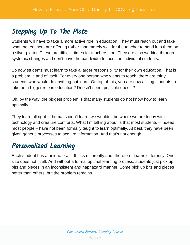### Stepping Up To The Plate

Students will have to take a more active role in education. They must reach out and take what the teachers are offering rather than merely wait for the teacher to hand it to them on a silver platter. These are difficult times for teachers, too: They are also working through systemic changes and don't have the bandwidth to focus on individual students.

So now students must learn to take a larger responsibility for their own education. That is a problem in and of itself. For every one person who wants to teach, there are thirty students who would do anything but learn. On top of this, you are now asking students to take on a bigger role in education? Doesn't seem possible does it?

Oh, by the way, the biggest problem is that many students do not know how to learn optimally.

They learn all right. If humans didn't learn, we wouldn't be where we are today with technology and creature comforts. What I'm talking about is that most students – indeed, most people – have not been formally taught to learn optimally. At best, they have been given generic processes to acquire information. And that's not enough.

### Personalized Learning

Each student has a unique brain, thinks differently and, therefore, learns differently. One size does not fit all. And without a formal optimal learning process, students just pick up bits and pieces in an inconsistent and haphazard manner. Some pick up bits and pieces better than others, but the problem remains.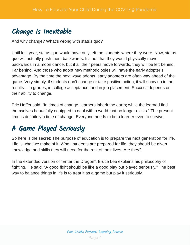### Change is Inevitable

And why change? What's wrong with status quo?

Until last year, status quo would have only left the students where they were. Now, status quo will actually push them backwards. It's not that they would physically move backwards in a moon dance, but if all their peers move forwards, they will be left behind. Far behind. And those who adopt new methodologies will have the early adopter's advantage. By the time the next wave adopts, early adopters are often way ahead of the game. Very simply, if students don't change or take positive action, it will show up in the results – in grades, in college acceptance, and in job placement. Success depends on their ability to change.

Eric Hoffer said, "In times of change, learners inherit the earth; while the learned find themselves beautifully equipped to deal with a world that no longer exists." The present time is definitely a time of change. Everyone needs to be a learner even to survive.

### A Game Played Seriously

So here is the secret: The purpose of education is to prepare the next generation for life. Life is what we make of it. When students are prepared for life, they should be given knowledge and skills they will need for the rest of their lives. Are they?

In the extended version of "Enter the Dragon", Bruce Lee explains his philosophy of fighting. He said, "A good fight should be like a good play but played seriously." The best way to balance things in life is to treat it as a game but play it seriously.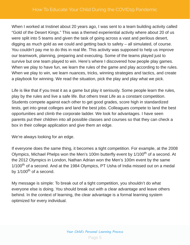When I worked at Instinet about 20 years ago, I was sent to a team building activity called "Gold of the Desert Kings." This was a themed experiential activity where about 20 of us were split into 5 teams and given the task of going across a vast and perilous desert, digging as much gold as we could and getting back to safety – all simulated, of course. You couldn't pay me to do this in real life. This activity was supposed to help us improve our teamwork, planning, preparing and executing. Some of the teams played just to survive but one team played to win. Here's where I discovered how people play games. When we play to have fun, we learn the rules of the game and play according to the rules. When we play to win, we learn nuances, tricks, winning strategies and tactics, and create a playbook for winning. We read the situation, pick the play and play what we pick.

Life is like that if you treat it as a game but play it seriously. Some people learn the rules, play by the rules and live a safe life. But others treat Life as a constant competition. Students compete against each other to get good grades, score high in standardized tests, get into great colleges and land the best jobs. Colleagues compete to land the best opportunities and climb the corporate ladder. We look for advantages. I have seen parents put their children into all possible classes and courses so that they can check a box in their college application and give them an edge.

We're always looking for an edge.

If everyone does the same thing, it becomes a tight competition. For example, at the 2008 Olympics, Michael Phelps won the Men's 100m butterfly event by 1/100<sup>th</sup> of a second. At the 2012 Olympics in London, Nathan Adrian won the Men's 100m event by the same  $1/100^{\text{th}}$  of a second. And at the 1984 Olympics, PT Usha of India missed out on a medal by 1/100<sup>th</sup> of a second.

My message is simple: To break out of a tight competition, you shouldn't do what everyone else is doing. You should break out with a clear advantage and leave others behind. In the context of learning, the clear advantage is a formal learning system optimized for every individual.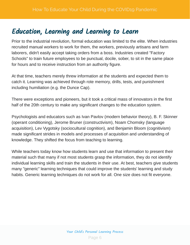### Education, Learning and Learning to Learn

Prior to the industrial revolution, formal education was limited to the elite. When industries recruited manual workers to work for them, the workers, previously artisans and farm laborers, didn't easily accept taking orders from a boss. Industries created "Factory Schools" to train future employees to be punctual, docile, sober, to sit in the same place for hours and to receive instruction from an authority figure.

At that time, teachers merely threw information at the students and expected them to catch it. Learning was achieved through rote memory, drills, tests, and punishment including humiliation (e.g. the Dunce Cap).

There were exceptions and pioneers, but it took a critical mass of innovators in the first half of the 20th century to make any significant changes to the education system.

Psychologists and educators such as Ivan Pavlov (modern behavior theory), B. F. Skinner (operant conditioning), Jerome Bruner (constructivism), Noam Chomsky (language acquisition), Lev Vygotsky (sociocultural cognition), and Benjamin Bloom (cognitivism) made significant strides in models and processes of acquisition and understanding of knowledge. They shifted the focus from teaching to learning.

While teachers today know how students learn and use that information to present their material such that many if not most students grasp the information, they do not identify individual learning skills and train the students in their use. At best, teachers give students many "generic" learning techniques that could improve the students' learning and study habits. Generic learning techniques do not work for all. One size does not fit everyone.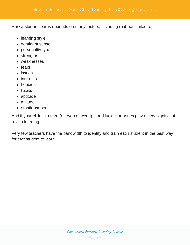How a student learns depends on many factors, including (but not limited to):

- learning style
- dominant sense
- personality type
- strengths
- weaknesses
- fears
- issues
- interests
- hobbies
- habits
- aptitude
- attitude
- emotion/mood

And if your child is a teen (or even a tween), good luck! Hormones play a very significant role in learning.

Very few teachers have the bandwidth to identify and train each student in the best way for that student to learn.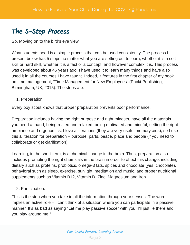### The 5-Step Process

So. Moving on to the bird's eye view.

What students need is a simple process that can be used consistently. The process I present below has 5 steps no matter what you are setting out to learn, whether it is a soft skill or hard skill, whether it is a fact or a concept, and however complex it is. This process was developed about 45 years ago. I have used it to learn many things and have also used it in all the courses I have taught. Indeed, it features in the first chapter of my book on time management, "Time Management for New Employees" (Packt Publishing, Birmingham, UK, 2015). The steps are:

1. Preparation.

Every boy scout knows that proper preparation prevents poor performance.

Preparation includes having the right purpose and right mindset, have all the materials you need at hand, being rested and relaxed, being motivated and mindful, setting the right ambiance and ergonomics. I love alliterations (they are very useful memory aids), so I use this alliteration for preparation – purpose, parts, peace, place and people (if you need to collaborate or get clarification).

Learning, in the short-term, is a chemical change in the brain. Thus, preparation also includes promoting the right chemicals in the brain in order to effect this change, including dietary such as proteins, probiotics, omega-3 fats, spices and chocolate (yes, chocolate), behavioral such as sleep, exercise, sunlight, meditation and music, and proper nutritional supplements such as Vitamin B12, Vitamin D, Zinc, Magnesium and Iron.

### 2. Participation.

This is the step when you take in all the information through your senses. The word implies an active role – I can't think of a situation where you can participate in a passive manner. It's as bad as saying "Let me play passive soccer with you. I'll just lie there and you play around me."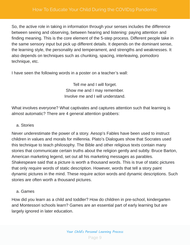So, the active role in taking in information through your senses includes the difference between seeing and observing, between hearing and listening: paying attention and finding meaning. This is the core element of the 5-step process. Different people take in the same sensory input but pick up different details. It depends on the dominant sense, the learning style, the personality and temperament, and strengths and weaknesses. It also depends on techniques such as chunking, spacing, interleaving, pomodoro technique, etc.

I have seen the following words in a poster on a teacher's wall:

Tell me and I will forget. Show me and I may remember. Involve me and I will understand.

What involves everyone? What captivates and captures attention such that learning is almost automatic? There are 4 general attention grabbers:

### a. Stories

Never underestimate the power of a story. Aesop's Fables have been used to instruct children in values and morals for millennia. Plato's Dialogues show that Socrates used this technique to teach philosophy. The Bible and other religious texts contain many stories that communicate certain truths about the religion gently and subtly. Bruce Barton, American marketing legend, set out all his marketing messages as parables. Shakespeare said that a picture is worth a thousand words. This is true of static pictures that only require words of static description. However, words that tell a story paint dynamic pictures in the mind. These require action words and dynamic descriptions. Such stories are often worth a thousand pictures.

#### a. Games

How did you learn as a child and toddler? How do children in pre-school, kindergarten and Montessori schools learn? Games are an essential part of early learning but are largely ignored in later education.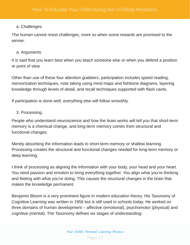#### a. Challenges

The human cannot resist challenges, more so when some rewards are promised to the winner.

#### a. Arguments

It is said that you learn best when you teach someone else or when you defend a position or point of view.

Other than use of these four attention grabbers, participation includes speed reading, memorization techniques, note taking using mind maps and fishbone diagrams, layering knowledge through levels of detail, and recall techniques supported with flash cards.

If participation is done well, everything else will follow smoothly.

### 3. Processing.

People who understand neuroscience and how the brain works will tell you that short-term memory is a chemical change, and long-term memory comes from structural and functional changes.

Merely absorbing the information leads to short-term memory or shallow learning. Processing creates the structural and functional changes needed for long-term memory or deep learning.

I think of processing as aligning the information with your body, your head and your heart. You need passion and emotion to bring everything together. You align what you're thinking and feeling with what you're doing. This causes the structural changes in the brain that makes the knowledge permanent.

Benjamin Bloom is a very prominent figure in modern education theory. His Taxonomy of Cognitive Learning was written in 1956 but is still used in schools today. He worked on three domains of human development – affective (emotional), psychomotor (physical) and cognitive (mental). The Taxonomy defines six stages of understanding: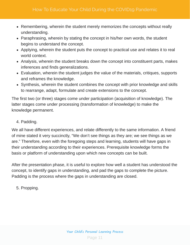- Remembering, wherein the student merely memorizes the concepts without really understanding.
- Paraphrasing, wherein by stating the concept in his/her own words, the student begins to understand the concept.
- Applying, wherein the student puts the concept to practical use and relates it to real world context.
- Analysis, wherein the student breaks down the concept into constituent parts, makes inferences and finds generalizations.
- Evaluation, wherein the student judges the value of the materials, critiques, supports and reframes the knowledge.
- Synthesis, wherein the student combines the concept with prior knowledge and skills to rearrange, adapt, formulate and create extensions to the concept.

The first two (or three) stages come under participation (acquisition of knowledge). The latter stages come under processing (transformation of knowledge) to make the knowledge permanent.

4. Padding.

We all have different experiences, and relate differently to the same information. A friend of mine stated it very succinctly, "We don't see things as they are; we see things as we are." Therefore, even with the foregoing steps and learning, students will have gaps in their understanding according to their experiences. Prerequisite knowledge forms the basis or platform of understanding upon which new concepts can be built.

After the presentation phase, it is useful to explore how well a student has understood the concept, to identify gaps in understanding, and pad the gaps to complete the picture. Padding is the process where the gaps in understanding are closed.

5. Propping.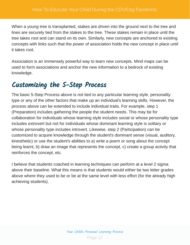When a young tree is transplanted, stakes are driven into the ground next to the tree and lines are securely tied from the stakes to the tree. These stakes remain in place until the tree takes root and can stand on its own. Similarly, new concepts are anchored to existing concepts with links such that the power of association holds the new concept in place until it takes root.

Association is an immensely powerful way to learn new concepts. Mind maps can be used to form associations and anchor the new information to a bedrock of existing knowledge.

### Customizing the 5-Step Process

The basic 5-Step Process above is not tied to any particular learning style, personality type or any of the other factors that make up an individual's learning skills. However, the process above can be extended to include individual traits. For example, step 1 (Preparation) includes gathering the people the student needs. This may be for collaboration for individuals whose learning style includes social or whose personality type includes extrovert but not for individuals whose dominant learning style is solitary or whose personality type includes introvert. Likewise, step 2 (Participation) can be customized to acquire knowledge through the student's dominant sense (visual, auditory, kinesthetic) or use the student's abilities to a) write a poem or song about the concept being learnt, b) draw an image that represents the concept, c) create a group activity that reinforces the concept, etc.

I believe that students coached in learning techniques can perform at a level 2 sigma above their baseline. What this means is that students would either be two letter grades above where they used to be or be at the same level with less effort (for the already high achieving students).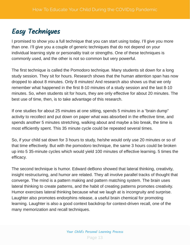### Easy Techniques

I promised to show you a full technique that you can start using today. I'll give you more than one. I'll give you a couple of generic techniques that do not depend on your individual learning style or personality trait or strengths. One of these techniques is commonly used, and the other is not so common but very powerful.

The first technique is called the Pomodoro technique. Many students sit down for a long study session. They sit for hours. Research shows that the human attention span has now dropped to about 8 minutes. Only 8 minutes! And research also shows us that we only remember what happened in the first 8-10 minutes of a study session and the last 8-10 minutes. So, when students sit for hours, they are only effective for about 20 minutes. The best use of time, then, is to take advantage of this research.

If one studies for about 25 minutes at one sitting, spends 5 minutes in a "brain dump" activity to recollect and put down on paper what was absorbed in the effective time, and spends another 5 minutes stretching, walking about and maybe a bio break, the time is most efficiently spent. This 35 minute cycle could be repeated several times.

So, if your child sat down for 3 hours to study, he/she would only use 20 minutes or so of that time effectively. But with the pomodoro technique, the same 3 hours could be broken up into 5 35-minute cycles which would yield 100 minutes of effective learning. 5 times the efficacy.

The second technique is humor. Edward deBono showed that lateral thinking, creativity, insight restructuring, and humor are related. They all involve parallel tracks of thought that converge. The mind is a pattern making and pattern matching system. The brain uses lateral thinking to create patterns, and the habit of creating patterns promotes creativity. Humor exercises lateral thinking because what we laugh at is incongruity and surprise. Laughter also promotes endorphins release, a useful brain chemical for promoting learning. Laughter is also a good context backdrop for context-driven recall, one of the many memorization and recall techniques.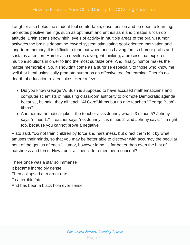Laughter also helps the student feel comfortable, ease tension and be open to learning. It promotes positive feelings such as optimism and enthusiasm and creates a "can do" attitude. Brain scans show high levels of activity in multiple areas of the brain. Humor activates the brain's dopamine reward system stimulating goal-oriented motivation and long-term memory. It is difficult to tune out when one is having fun, so humor grabs and sustains attention. Humor also develops divergent thinking, a process that explores multiple solutions in order to find the most suitable one. And, finally, humor makes the matter memorable. So, it shouldn't come as a surprise especially to those who know me well that I enthusiastically promote humor as an effective tool for learning. There's no dearth of education related jokes. Here a few:

- Did you know George W. Bush is supposed to have accused mathematicians and computer scientists of misusing classroom authority to promote Democratic agenda because, he said, they all teach "Al Gore"-ithms but no one teaches "George Bush" ithms?
- Another mathematical joke the teacher asks Johnny what's 3 minus 5? Johnny says "minus 17". Teacher says "no, Johnny, it is minus 2" and Johnny says, "I'm right too, because you cannot prove a negative."

Plato said, "Do not train children by force and harshness, but direct them to it by what amuses their minds, so that you may be better able to discover with accuracy the peculiar bent of the genius of each." Humor, however lame, is far better than even the hint of harshness and force. How about a limerick to remember a concept?

There once was a star so immense It became incredibly dense Then collapsed at a great rate To a terrible fate And has been a black hole ever sense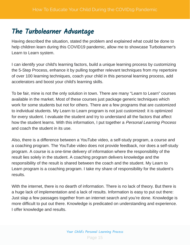### The Turbolearner Advantage

Having described the situation, stated the problem and explained what could be done to help children learn during this COVID19 pandemic, allow me to showcase Turbolearner's Learn to Learn system.

I can identify your child's learning factors, build a unique learning process by customizing the 5-Step Process, enhance it by pulling together relevant techniques from my repertoire of over 100 learning techniques, coach your child in this personal learning process, add accelerators and boost your child's learning skills.

To be fair, mine is not the only solution in town. There are many "Learn to Learn" courses available in the market. Most of these courses just package generic techniques which work for some students but not for others. There are a few programs that are customized to individual students. My Learn to Learn program is not just customized: it is optimized for every student. I evaluate the student and try to understand all the factors that affect how the student learns. With this information, I put together a Personal Learning Process and coach the student in its use.

Also, there is a difference between a YouTube video, a self-study program, a course and a coaching program. The YouTube video does not provide feedback, nor does a self-study program. A course is a one-time delivery of information where the responsibility of the result lies solely in the student. A coaching program delivers knowledge and the responsibility of the result is shared between the coach and the student. My Learn to Learn program is a coaching program. I take my share of responsibility for the student's results.

With the internet, there is no dearth of information. There is no lack of theory. But there is a huge lack of implementation and a lack of results. Information is easy to put out there: Just slap a few passages together from an internet search and you're done. Knowledge is more difficult to put out there. Knowledge is predicated on understanding and experience. I offer knowledge and results.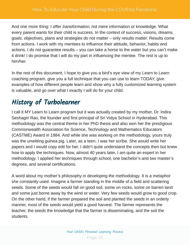And one more thing: I offer *transformation*, not mere information or knowledge. What every parent wants for their child is success. In the context of success, visions, dreams, goals, objectives, plans and strategies do not matter – only results matter. Results come from actions. I work with my mentees to influence their attitude, behavior, habits and actions. I do not guarantee results – you can take a horse to the water but you can't make it drink! I do promise that I will do my part in influencing the mentee. The rest is up to him/her.

In the rest of this document, I hope to give you a bird's eye view of my Learn to Learn coaching program, give you a full technique that you can use to learn TODAY, give examples of how different people learn and show why a fully customized learning system is valuable, and go over what I exactly I will do for your child.

### History of Turbolearner

I call it MY Learn to Learn program but it was actually created by my mother, Dr. Indira Seshagiri Rao, the founder and first principal of Sri Vidya School in Hyderabad. This methodology was the central theme in her PhD thesis and also won her the prestigious Commonwealth Association for Science, Technology and Mathematics Educators (CASTME) Award in 1984. And while she was working on the methodology, yours truly was the unwitting guinea pig. Later, as a teen, I was her scribe. She would write her papers and I would copy edit for her. I didn't quite understand the concepts then but knew how to apply the techniques. Now, almost 40 years later, I am quite an expert in her methodology. I applied her techniques through school, one bachelor's and two master's degrees, and several certifications.

A word about my mother's philosophy in developing the methodology. It is a metaphor she constantly used. Imagine a farmer standing in the middle of a field and scattering seeds. Some of the seeds would fall on good soil, some on rocks, some on barren land and some just borne away by the wind or water. Very few seeds would grow to good crop. On the other hand, if the farmer prepared the soil and planted the seeds in an orderly manner, most of the seeds would yield a good harvest. The farmer represents the teacher, the seeds the knowledge that the farmer is disseminating, and the soil the students.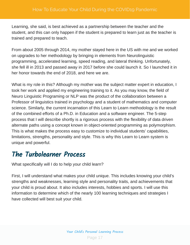Learning, she said, is best achieved as a partnership between the teacher and the student, and this can only happen if the student is prepared to learn just as the teacher is trained and prepared to teach.

From about 2005 through 2014, my mother stayed here in the US with me and we worked on upgrades to her methodology by bringing in elements from Neurolinguistic programming, accelerated learning, speed reading, and lateral thinking. Unfortunately, she fell ill in 2013 and passed away in 2017 before she could launch it. So I launched it in her honor towards the end of 2018, and here we are.

What is my role in this? Although my mother was the subject matter expert in education, I took her work and applied my engineering training to it. As you may know, the field of Neuro Linguistic Programing or NLP was the product of the collaboration between a Professor of linguistics trained in psychology and a student of mathematics and computer science. Similarly, the current incarnation of this Learn to Learn methodology is the result of the combined efforts of a Ph.D. in Education and a software engineer. The 5-step process that I will describe shortly is a rigorous process with the flexibility of data driven alternate paths using a concept known in object-oriented programming as polymorphism. This is what makes the process easy to customize to individual students' capabilities, limitations, strengths, personality and style. This is why this Learn to Learn system is unique and powerful.

### The Turbolearner Process

What specifically will I do to help your child learn?

First, I will understand what makes your child unique. This includes knowing your child's strengths and weaknesses, learning style and personality traits, and achievements that your child is proud about. It also includes interests, hobbies and sports. I will use this information to determine which of the nearly 100 learning techniques and strategies I have collected will best suit your child.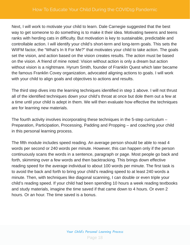Next, I will work to motivate your child to learn. Dale Carnegie suggested that the best way to get someone to do something is to make it their idea. Motivating tweens and teens ranks with herding cats in difficulty. But motivation is key to sustainable, predictable and controllable action. I will identify your child's short-term and long-term goals. This sets the WIIFM factor, the "What's In It For Me?" that motivates your child to take action. The goals set the vision, and action based on the vision creates results. The action must be based on the vision. A friend of mine noted: Vision without action is only a dream but action without vision is a nightmare. Hyrum Smith, founder of Franklin Quest which later became the famous Franklin Covey organization, advocated aligning actions to goals. I will work with your child to align goals and objectives to actions and results.

The third step dives into the learning techniques identified in step 1 above. I will not thrust all of the identified techniques down your child's throat at once but dole them out a few at a time until your child is adept in them. We will then evaluate how effective the techniques are for learning new materials.

The fourth activity involves incorporating these techniques in the 5-step curriculum – Preparation, Participation, Processing, Padding and Propping – and coaching your child in this personal learning process.

The fifth module includes speed reading. An average person should be able to read 4 words per second or 240 words per minute. However, this can happen only if the person continuously scans the words in a sentence, paragraph or page. Most people go back and forth, skimming over a few words and then backtracking. This brings down effective reading speed for the average individual to about 100 words per minute. The first task is to avoid the back and forth to bring your child's reading speed to at least 240 words a minute. Then, with techniques like diagonal scanning, I can double or even triple your child's reading speed. If your child had been spending 10 hours a week reading textbooks and study materials, imagine the time saved if that came down to 4 hours. Or even 2 hours. Or an hour. The time saved is a bonus.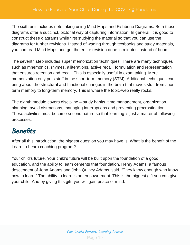The sixth unit includes note taking using Mind Maps and Fishbone Diagrams. Both these diagrams offer a succinct, pictorial way of capturing information. In general, it is good to construct these diagrams while first studying the material so that you can use the diagrams for further revisions. Instead of wading through textbooks and study materials, you can read Mind Maps and get the entire revision done in minutes instead of hours.

The seventh step includes super memorization techniques. There are many techniques such as mnemonics, rhymes, alliterations, active recall, formulation and representation that ensures retention and recall. This is especially useful in exam taking. Mere memorization only puts stuff in the short-term memory (STM). Additional techniques can bring about the structural and functional changes in the brain that moves stuff from shortterm memory to long-term memory. This is where the topic-web really rocks.

The eighth module covers discipline – study habits, time management, organization, planning, avoid distractions, managing interruptions and preventing procrastination. These activities must become second nature so that learning is just a matter of following processes.

### **Benefits**

After all this introduction, the biggest question you may have is: What is the benefit of the Learn to Learn coaching program?

Your child's future. Your child's future will be built upon the foundation of a good education, and the ability to learn cements that foundation. Henry Adams, a famous descendent of John Adams and John Quincy Adams, said, "They know enough who know how to learn." The ability to learn is an empowerment. This is the biggest gift you can give your child. And by giving this gift, you will gain peace of mind.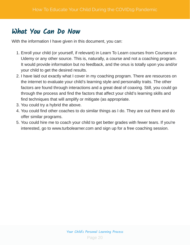### What You Can Do Now

With the information I have given in this document, you can:

- 1. Enroll your child (or yourself, if relevant) in Learn To Learn courses from Coursera or Udemy or any other source. This is, naturally, a course and not a coaching program. It would provide information but no feedback, and the onus is totally upon you and/or your child to get the desired results.
- 2. I have laid out exactly what I cover in my coaching program. There are resources on the internet to evaluate your child's learning style and personality traits. The other factors are found through interactions and a great deal of coaxing. Still, you could go through the process and find the factors that affect your child's learning skills and find techniques that will amplify or mitigate (as appropriate.
- 3. You could try a hybrid the above.
- 4. You could find other coaches to do similar things as I do. They are out there and do offer similar programs.
- 5. You could hire me to coach your child to get better grades with fewer tears. If you're interested, go to www.turbolearner.com and sign up for a free coaching session.